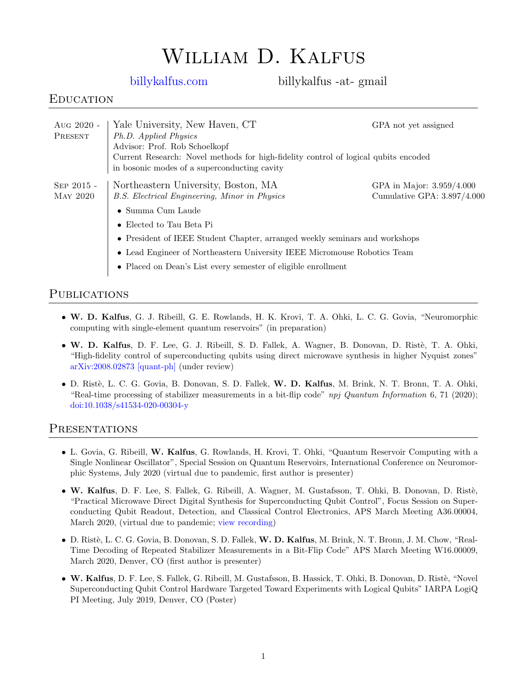# William D. Kalfus

[billykalfus.com](http://billykalfus.com) billykalfus -at- gmail

# **EDUCATION**

| Aug 2020 -<br>PRESENT           | Yale University, New Haven, CT<br>Ph.D. Applied Physics<br>Advisor: Prof. Rob Schoelkopf<br>Current Research: Novel methods for high-fidelity control of logical qubits encoded<br>in bosonic modes of a superconducting cavity | GPA not vet assigned                                       |
|---------------------------------|---------------------------------------------------------------------------------------------------------------------------------------------------------------------------------------------------------------------------------|------------------------------------------------------------|
| $SEP 2015 -$<br><b>MAY 2020</b> | Northeastern University, Boston, MA<br>B.S. Electrical Engineering, Minor in Physics<br>$\bullet$ Summa Cum Laude<br>• Elected to Tau Beta Pi<br>• President of IEEE Student Chapter, arranged weekly seminars and workshops    | GPA in Major: 3.959/4.000<br>Cumulative GPA: $3.897/4.000$ |
|                                 | • Lead Engineer of Northeastern University IEEE Micromouse Robotics Team<br>• Placed on Dean's List every semester of eligible enrollment                                                                                       |                                                            |

## **PUBLICATIONS**

- W. D. Kalfus, G. J. Ribeill, G. E. Rowlands, H. K. Krovi, T. A. Ohki, L. C. G. Govia, "Neuromorphic computing with single-element quantum reservoirs" (in preparation)
- W. D. Kalfus, D. F. Lee, G. J. Ribeill, S. D. Fallek, A. Wagner, B. Donovan, D. Ristè, T. A. Ohki, "High-fidelity control of superconducting qubits using direct microwave synthesis in higher Nyquist zones" [arXiv:2008.02873 \[quant-ph\]](https://arxiv.org/abs/2008.02873) (under review)
- D. Rist`e, L. C. G. Govia, B. Donovan, S. D. Fallek, W. D. Kalfus, M. Brink, N. T. Bronn, T. A. Ohki, "Real-time processing of stabilizer measurements in a bit-flip code" npj Quantum Information 6, 71 (2020); [doi:10.1038/s41534-020-00304-y](https://doi.org/10.1038/s41534-020-00304-y)

#### PRESENTATIONS

- L. Govia, G. Ribeill, W. Kalfus, G. Rowlands, H. Krovi, T. Ohki, "Quantum Reservoir Computing with a Single Nonlinear Oscillator", Special Session on Quantum Reservoirs, International Conference on Neuromorphic Systems, July 2020 (virtual due to pandemic, first author is presenter)
- W. Kalfus, D. F. Lee, S. Fallek, G. Ribeill, A. Wagner, M. Gustafsson, T. Ohki, B. Donovan, D. Ristè, "Practical Microwave Direct Digital Synthesis for Superconducting Qubit Control", Focus Session on Superconducting Qubit Readout, Detection, and Classical Control Electronics, APS March Meeting A36.00004, March 2020, (virtual due to pandemic; [view recording\)](https://virtualmarchmeeting.com/presentations/practical-microwave-direct-digital-synthesis-for-superconducting-qubit-control)
- D. Rist`e, L. C. G. Govia, B. Donovan, S. D. Fallek, W. D. Kalfus, M. Brink, N. T. Bronn, J. M. Chow, "Real-Time Decoding of Repeated Stabilizer Measurements in a Bit-Flip Code" APS March Meeting W16.00009, March 2020, Denver, CO (first author is presenter)
- W. Kalfus, D. F. Lee, S. Fallek, G. Ribeill, M. Gustafsson, B. Hassick, T. Ohki, B. Donovan, D. Ristè, "Novel Superconducting Qubit Control Hardware Targeted Toward Experiments with Logical Qubits" IARPA LogiQ PI Meeting, July 2019, Denver, CO (Poster)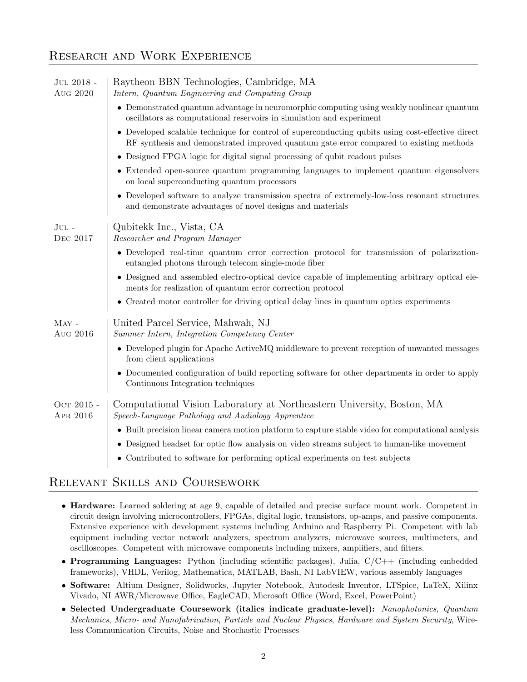# Research and Work Experience

| JUL 2018 -<br>Aug 2020   | Raytheon BBN Technologies, Cambridge, MA<br>Intern, Quantum Engineering and Computing Group                                                                                                |  |
|--------------------------|--------------------------------------------------------------------------------------------------------------------------------------------------------------------------------------------|--|
|                          | • Demonstrated quantum advantage in neuromorphic computing using weakly nonlinear quantum<br>oscillators as computational reservoirs in simulation and experiment                          |  |
|                          | • Developed scalable technique for control of superconducting qubits using cost-effective direct<br>RF synthesis and demonstrated improved quantum gate error compared to existing methods |  |
|                          | • Designed FPGA logic for digital signal processing of qubit readout pulses                                                                                                                |  |
|                          | • Extended open-source quantum programming languages to implement quantum eigensolvers<br>on local superconducting quantum processors                                                      |  |
|                          | • Developed software to analyze transmission spectra of extremely-low-loss resonant structures<br>and demonstrate advantages of novel designs and materials                                |  |
| $JUL$ -<br>DEC 2017      | Qubitekk Inc., Vista, CA<br>Researcher and Program Manager                                                                                                                                 |  |
|                          | • Developed real-time quantum error correction protocol for transmission of polarization-<br>entangled photons through telecom single-mode fiber                                           |  |
|                          | • Designed and assembled electro-optical device capable of implementing arbitrary optical ele-<br>ments for realization of quantum error correction protocol                               |  |
|                          | • Created motor controller for driving optical delay lines in quantum optics experiments                                                                                                   |  |
| $\rm{May}$ -<br>Aug 2016 | United Parcel Service, Mahwah, NJ<br>Summer Intern, Integration Competency Center                                                                                                          |  |
|                          | • Developed plugin for Apache Active MQ middleware to prevent reception of unwanted messages<br>from client applications                                                                   |  |
|                          | Documented configuration of build reporting software for other departments in order to apply<br>Continuous Integration techniques                                                          |  |
| Ост 2015 -<br>APR 2016   | Computational Vision Laboratory at Northeastern University, Boston, MA<br>Speech-Language Pathology and Audiology Apprentice                                                               |  |
|                          | • Built precision linear camera motion platform to capture stable video for computational analysis                                                                                         |  |
|                          | • Designed headset for optic flow analysis on video streams subject to human-like movement                                                                                                 |  |
|                          | • Contributed to software for performing optical experiments on test subjects                                                                                                              |  |

# Relevant Skills and Coursework

- Hardware: Learned soldering at age 9, capable of detailed and precise surface mount work. Competent in circuit design involving microcontrollers, FPGAs, digital logic, transistors, op-amps, and passive components. Extensive experience with development systems including Arduino and Raspberry Pi. Competent with lab equipment including vector network analyzers, spectrum analyzers, microwave sources, multimeters, and oscilloscopes. Competent with microwave components including mixers, amplifiers, and filters.
- Programming Languages: Python (including scientific packages), Julia, C/C++ (including embedded frameworks), VHDL, Verilog, Mathematica, MATLAB, Bash, NI LabVIEW, various assembly languages
- Software: Altium Designer, Solidworks, Jupyter Notebook, Autodesk Inventor, LTSpice, LaTeX, Xilinx Vivado, NI AWR/Microwave Office, EagleCAD, Microsoft Office (Word, Excel, PowerPoint)
- Selected Undergraduate Coursework (italics indicate graduate-level): Nanophotonics, Quantum Mechanics, Micro- and Nanofabrication, Particle and Nuclear Physics, Hardware and System Security, Wireless Communication Circuits, Noise and Stochastic Processes